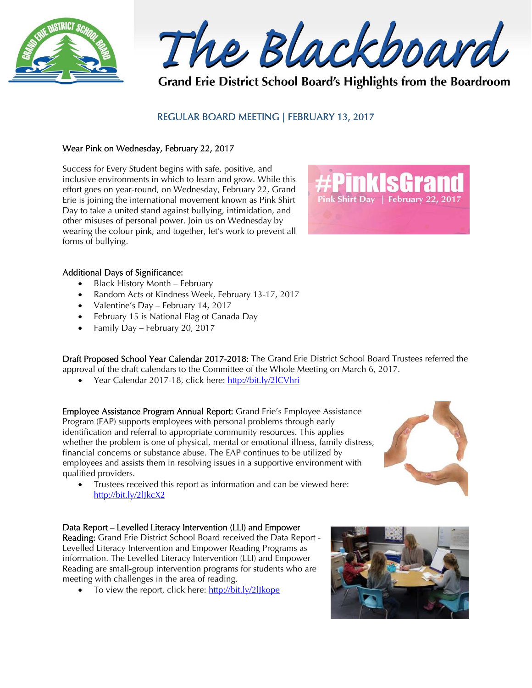

The Blackboard

Grand Erie District School Board's Highlights from the Boardroom

# REGULAR BOARD MEETING | FEBRUARY 13, 2017

### Wear Pink on Wednesday, February 22, 2017

Success for Every Student begins with safe, positive, and inclusive environments in which to learn and grow. While this effort goes on year-round, on Wednesday, February 22, Grand Erie is joining the international movement known as Pink Shirt Day to take a united stand against bullying, intimidation, and other misuses of personal power. Join us on Wednesday by wearing the colour pink, and together, let's work to prevent all forms of bullying.



#### Additional Days of Significance:

- Black History Month February
- Random Acts of Kindness Week, February 13-17, 2017
- Valentine's Day February 14, 2017
- February 15 is National Flag of Canada Day
- Family Day February 20, 2017

Draft Proposed School Year Calendar 2017-2018: The Grand Erie District School Board Trustees referred the approval of the draft calendars to the Committee of the Whole Meeting on March 6, 2017.

Year Calendar 2017-18, click here: http://bit.ly/2lCVhri

Employee Assistance Program Annual Report: Grand Erie's Employee Assistance Program (EAP) supports employees with personal problems through early identification and referral to appropriate community resources. This applies whether the problem is one of physical, mental or emotional illness, family distress, financial concerns or substance abuse. The EAP continues to be utilized by employees and assists them in resolving issues in a supportive environment with qualified providers.

 Trustees received this report as information and can be viewed here: http://bit.ly/2lJkcX2

## Data Report – Levelled Literacy Intervention (LLI) and Empower

Reading: Grand Erie District School Board received the Data Report - Levelled Literacy Intervention and Empower Reading Programs as information. The Levelled Literacy Intervention (LLI) and Empower Reading are small-group intervention programs for students who are meeting with challenges in the area of reading.

• To view the report, click here: http://bit.ly/2lJkope